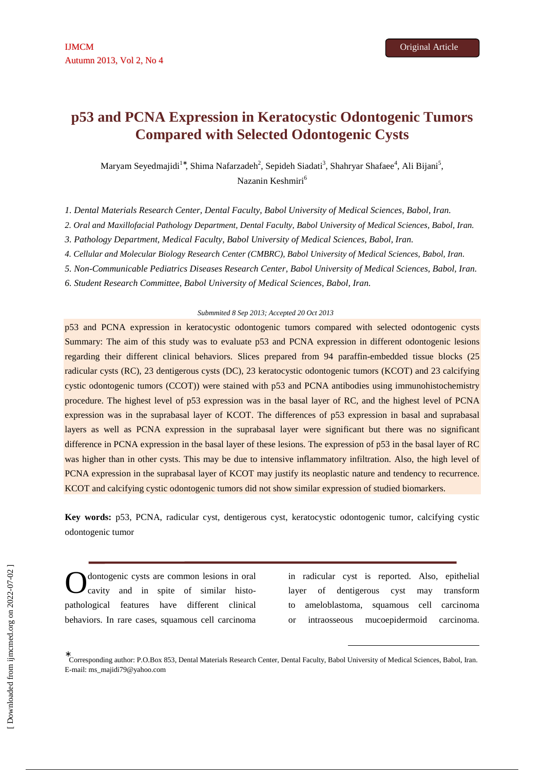# **p53 and PCNA Expression in Keratocystic Odontogenic Tumors Compared with Selected Odontogenic Cysts**

Maryam Seyedmajidi<sup>1\*</sup>, Shima Nafarzadeh<sup>2</sup>, Sepideh Siadati<sup>3</sup>, Shahryar Shafaee<sup>4</sup>, Ali Bijani<sup>5</sup>, Nazanin Keshmiri<sup>6</sup>

*1. Dental Materials Research Center, Dental Faculty, Babol University of Medical Sciences, Babol, Iran.* 

*2. Oral and Maxillofacial Pathology Department, Dental Faculty, Babol University of Medical Sciences, Babol, Iran.* 

*3. Pathology Department, Medical Faculty, Babol University of Medical Sciences, Babol, Iran.* 

*4. Cellular and Molecular Biology Research Center (CMBRC), Babol University of Medical Sciences, Babol, Iran.* 

*5. Non-Communicable Pediatrics Diseases Research Center, Babol University of Medical Sciences, Babol, Iran.* 

*6. Student Research Committee, Babol University of Medical Sciences, Babol, Iran.* 

#### *Submmited 8 Sep 2013; Accepted 20 Oct 2013*

p53 and PCNA expression in keratocystic odontogenic tumors compared with selected odontogenic cysts Summary: The aim of this study was to evaluate p53 and PCNA expression in different odontogenic lesions regarding their different clinical behaviors. Slices prepared from 94 paraffin-embedded tissue blocks (25 radicular cysts (RC), 23 dentigerous cysts (DC), 23 keratocystic odontogenic tumors (KCOT) and 23 calcifying cystic odontogenic tumors (CCOT)) were stained with p53 and PCNA antibodies using immunohistochemistry procedure. The highest level of p53 expression was in the basal layer of RC, and the highest level of PCNA expression was in the suprabasal layer of KCOT. The differences of p53 expression in basal and suprabasal layers as well as PCNA expression in the suprabasal layer were significant but there was no significant difference in PCNA expression in the basal layer of these lesions. The expression of p53 in the basal layer of RC was higher than in other cysts. This may be due to intensive inflammatory infiltration. Also, the high level of PCNA expression in the suprabasal layer of KCOT may justify its neoplastic nature and tendency to recurrence. KCOT and calcifying cystic odontogenic tumors did not show similar expression of studied biomarkers.

**Key words:** p53, PCNA, radicular cyst, dentigerous cyst, keratocystic odontogenic tumor, calcifying cystic odontogenic tumor

dontogenic cysts are common lesions in oral cavity and in spite of similar histopathological features have different clinical behaviors. In rare cases, squamous cell carcinoma O

in radicular cyst is reported. Also, epithelial layer of dentigerous cyst may transform to ameloblastoma, squamous cell carcinoma or intraosseous mucoepidermoid carcinoma.

-

<sup>∗</sup> Corresponding author: P.O.Box 853, Dental Materials Research Center, Dental Faculty, Babol University of Medical Sciences, Babol, Iran. E-mail: ms\_majidi79@yahoo.com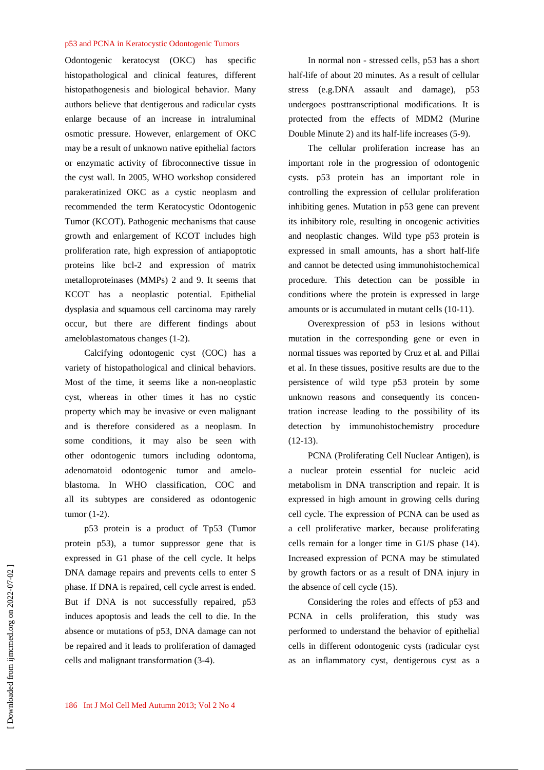#### p53 and PCNA in Keratocystic Odontogenic Tumors

Odontogenic keratocyst (OKC) has specific histopathological and clinical features, different histopathogenesis and biological behavior. Many authors believe that dentigerous and radicular cysts enlarge because of an increase in intraluminal osmotic pressure. However, enlargement of OKC may be a result of unknown native epithelial factors or enzymatic activity of fibroconnective tissue in the cyst wall. In 2005, WHO workshop considered parakeratinized OKC as a cystic neoplasm and recommended the term Keratocystic Odontogenic Tumor (KCOT). Pathogenic mechanisms that cause growth and enlargement of KCOT includes high proliferation rate, high expression of antiapoptotic proteins like bcl-2 and expression of matrix metalloproteinases (MMPs) 2 and 9. It seems that KCOT has a neoplastic potential. Epithelial dysplasia and squamous cell carcinoma may rarely occur, but there are different findings about ameloblastomatous changes (1-2).

Calcifying odontogenic cyst (COC) has a variety of histopathological and clinical behaviors. Most of the time, it seems like a non-neoplastic cyst, whereas in other times it has no cystic property which may be invasive or even malignant and is therefore considered as a neoplasm. In some conditions, it may also be seen with other odontogenic tumors including odontoma, adenomatoid odontogenic tumor and ameloblastoma. In WHO classification, COC and all its subtypes are considered as odontogenic tumor (1-2).

p53 protein is a product of Tp53 (Tumor protein p53), a tumor suppressor gene that is expressed in G1 phase of the cell cycle. It helps DNA damage repairs and prevents cells to enter S phase. If DNA is repaired, cell cycle arrest is ended. But if DNA is not successfully repaired, p53 induces apoptosis and leads the cell to die. In the absence or mutations of p53, DNA damage can not be repaired and it leads to proliferation of damaged cells and malignant transformation (3-4).

In normal non - stressed cells, p53 has a short half-life of about 20 minutes. As a result of cellular stress (e.g.DNA assault and damage), p53 undergoes posttranscriptional modifications. It is protected from the effects of MDM2 (Murine Double Minute 2) and its half-life increases (5-9).

The cellular proliferation increase has an important role in the progression of odontogenic cysts. p53 protein has an important role in controlling the expression of cellular proliferation inhibiting genes. Mutation in p53 gene can prevent its inhibitory role, resulting in oncogenic activities and neoplastic changes. Wild type p53 protein is expressed in small amounts, has a short half-life and cannot be detected using immunohistochemical procedure. This detection can be possible in conditions where the protein is expressed in large amounts or is accumulated in mutant cells (10-11).

Overexpression of p53 in lesions without mutation in the corresponding gene or even in normal tissues was reported by Cruz et al. and Pillai et al. In these tissues, positive results are due to the persistence of wild type p53 protein by some unknown reasons and consequently its concentration increase leading to the possibility of its detection by immunohistochemistry procedure (12-13).

PCNA (Proliferating Cell Nuclear Antigen), is a nuclear protein essential for nucleic acid metabolism in DNA transcription and repair. It is expressed in high amount in growing cells during cell cycle. The expression of PCNA can be used as a cell proliferative marker, because proliferating cells remain for a longer time in G1/S phase (14). Increased expression of PCNA may be stimulated by growth factors or as a result of DNA injury in the absence of cell cycle (15).

Considering the roles and effects of p53 and PCNA in cells proliferation, this study was performed to understand the behavior of epithelial cells in different odontogenic cysts (radicular cyst as an inflammatory cyst, dentigerous cyst as a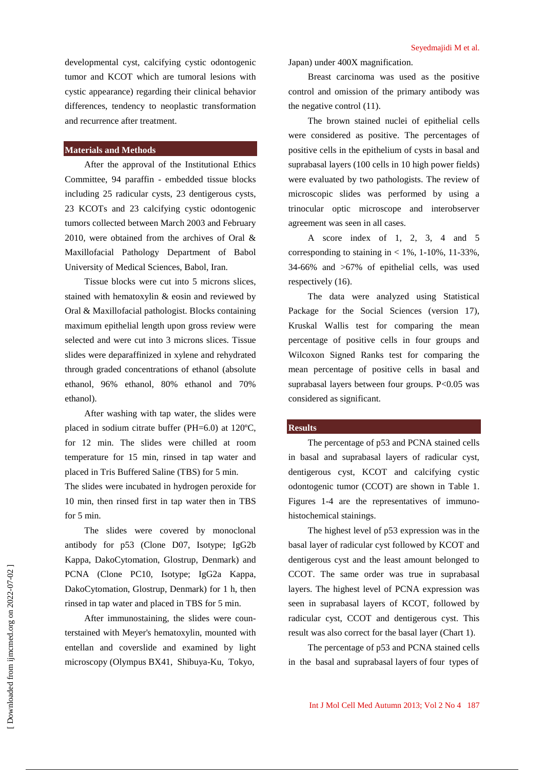developmental cyst, calcifying cystic odontogenic tumor and KCOT which are tumoral lesions with cystic appearance) regarding their clinical behavior differences, tendency to neoplastic transformation and recurrence after treatment.

## **Materials and Methods**

After the approval of the Institutional Ethics Committee, 94 paraffin - embedded tissue blocks including 25 radicular cysts, 23 dentigerous cysts, 23 KCOTs and 23 calcifying cystic odontogenic tumors collected between March 2003 and February 2010, were obtained from the archives of Oral & Maxillofacial Pathology Department of Babol University of Medical Sciences, Babol, Iran.

Tissue blocks were cut into 5 microns slices, stained with hematoxylin & eosin and reviewed by Oral & Maxillofacial pathologist. Blocks containing maximum epithelial length upon gross review were selected and were cut into 3 microns slices. Tissue slides were deparaffinized in xylene and rehydrated through graded concentrations of ethanol (absolute ethanol, 96% ethanol, 80% ethanol and 70% ethanol).

After washing with tap water, the slides were placed in sodium citrate buffer (PH=6.0) at 120ºC, for 12 min. The slides were chilled at room temperature for 15 min, rinsed in tap water and placed in Tris Buffered Saline (TBS) for 5 min. The slides were incubated in hydrogen peroxide for 10 min, then rinsed first in tap water then in TBS for 5 min.

The slides were covered by monoclonal antibody for p53 (Clone D07, Isotype; IgG2b Kappa, DakoCytomation, Glostrup, Denmark) and PCNA (Clone PC10, Isotype; IgG2a Kappa, DakoCytomation, Glostrup, Denmark) for 1 h, then rinsed in tap water and placed in TBS for 5 min.

After immunostaining, the slides were counterstained with Meyer's hematoxylin, mounted with entellan and coverslide and examined by light microscopy (Olympus BX41, Shibuya-Ku, Tokyo,

Japan) under 400X magnification.

Breast carcinoma was used as the positive control and omission of the primary antibody was the negative control (11).

The brown stained nuclei of epithelial cells were considered as positive. The percentages of positive cells in the epithelium of cysts in basal and suprabasal layers (100 cells in 10 high power fields) were evaluated by two pathologists. The review of microscopic slides was performed by using a trinocular optic microscope and interobserver agreement was seen in all cases.

A score index of 1, 2, 3, 4 and 5 corresponding to staining in  $< 1\%$ , 1-10%, 11-33%, 34-66% and >67% of epithelial cells, was used respectively (16).

The data were analyzed using Statistical Package for the Social Sciences (version 17), Kruskal Wallis test for comparing the mean percentage of positive cells in four groups and Wilcoxon Signed Ranks test for comparing the mean percentage of positive cells in basal and suprabasal layers between four groups. P<0.05 was considered as significant.

#### **Results**

The percentage of p53 and PCNA stained cells in basal and suprabasal layers of radicular cyst, dentigerous cyst, KCOT and calcifying cystic odontogenic tumor (CCOT) are shown in Table 1. Figures 1-4 are the representatives of immunohistochemical stainings.

The highest level of p53 expression was in the basal layer of radicular cyst followed by KCOT and dentigerous cyst and the least amount belonged to CCOT. The same order was true in suprabasal layers. The highest level of PCNA expression was seen in suprabasal layers of KCOT, followed by radicular cyst, CCOT and dentigerous cyst. This result was also correct for the basal layer (Chart 1).

The percentage of p53 and PCNA stained cells in the basal and suprabasal layers of four types of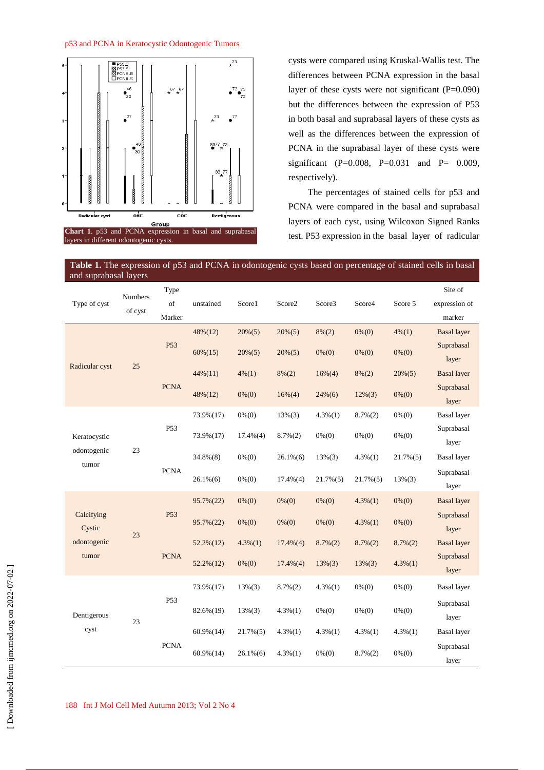

cysts were compared using Kruskal-Wallis test. The differences between PCNA expression in the basal layer of these cysts were not significant  $(P=0.090)$ but the differences between the expression of P53 in both basal and suprabasal layers of these cysts as well as the differences between the expression of PCNA in the suprabasal layer of these cysts were significant (P=0.008, P=0.031 and P= 0.009, respectively).

The percentages of stained cells for p53 and PCNA were compared in the basal and suprabasal layers of each cyst, using Wilcoxon Signed Ranks test. P53 expression in the basal layer of radicular

#### Site of expression of marker unstained Score1 Score2 Score3 Score4 Score 5 Type of Marker Numbers of cyst Type of cyst 48%(12) 20%(5) 20%(5) 8%(2) 0%(0) 4%(1) Basal layer P53 Radicular cyst 25 Suprabasal layer 60%(15) 20%(5) 20%(5) 0%(0) 0%(0) 0%(0) 44%(11) 4%(1) 8%(2) 16%(4) 8%(2) 20%(5) Basal layer PCNA Suprabasal and the contract of the contract of the contract of the contract of the suprabasal layer 48%(12) 0%(0) 16%(4) 24%(6) 12%(3) 0%(0) 73.9%(17) 0%(0) 13%(3) 4.3%(1) 8.7%(2) 0%(0) Basal layer P53 Keratocystic Suprabasal 73.9%(17) 17.4%(4) 8.7%(2) 0%(0) 0%(0) 0%(0)

| Table 1. The expression of p53 and PCNA in odontogenic cysts based on percentage of stained cells in basal |  |  |
|------------------------------------------------------------------------------------------------------------|--|--|
| and suprabasal layers                                                                                      |  |  |

|                                                                              |          |                                |              |             |                |             |                | $\cdots$       | layer               |
|------------------------------------------------------------------------------|----------|--------------------------------|--------------|-------------|----------------|-------------|----------------|----------------|---------------------|
| Radicular cyst                                                               | 25       |                                | $44\%(11)$   | $4\%(1)$    | $8\%(2)$       | 16% (4)     | $8\% (2)$      | $20\%(5)$      | <b>Basal</b> layer  |
| Keratocystic<br>odontogenic                                                  | 23       | <b>PCNA</b><br>P <sub>53</sub> | $48\%(12)$   | $0\% (0)$   | $16\%(4)$      | $24\%(6)$   | $12\%(3)$      | $0\% (0)$      | Suprabasal<br>layer |
|                                                                              |          |                                | 73.9%(17)    | $0\% (0)$   | $13%$ (3)      | $4.3\%(1)$  | $8.7\%(2)$     | $0\% (0)$      | <b>Basal</b> layer  |
|                                                                              |          |                                | 73.9%(17)    | $17.4\%(4)$ | $8.7\%(2)$     | $0\% (0)$   | $0\% (0)$      | $0\% (0)$      | Suprabasal<br>layer |
|                                                                              |          |                                | $34.8\%(8)$  | $0\% (0)$   | $26.1\%(6)$    | $13\%(3)$   | $4.3\%(1)$     | $21.7\%$ $(5)$ | <b>Basal</b> layer  |
| tumor<br>Calcifying<br>Cystic<br>odontogenic<br>tumor<br>Dentigerous<br>cyst | 23<br>23 | <b>PCNA</b><br>P <sub>53</sub> | $26.1\%(6)$  | $0\% (0)$   | $17.4\%$ $(4)$ | $21.7\%(5)$ | $21.7\%$ $(5)$ | $13\%(3)$      | Suprabasal<br>layer |
|                                                                              |          |                                | $95.7\%(22)$ | $0\% (0)$   | $0\% (0)$      | $0\% (0)$   | $4.3\%(1)$     | $0\% (0)$      | <b>Basal</b> layer  |
|                                                                              |          |                                | $95.7\%(22)$ | $0\% (0)$   | $0\% (0)$      | $0\% (0)$   | $4.3\%(1)$     | $0\% (0)$      | Suprabasal<br>layer |
|                                                                              |          | <b>PCNA</b><br>P53             | $52.2\%(12)$ | $4.3\%(1)$  | $17.4\%(4)$    | $8.7\%(2)$  | $8.7\%(2)$     | $8.7\%(2)$     | <b>Basal</b> layer  |
|                                                                              |          |                                | $52.2\%(12)$ | $0\% (0)$   | $17.4\%(4)$    | $13\%(3)$   | $13\%(3)$      | $4.3\%(1)$     | Suprabasal<br>layer |
|                                                                              |          |                                | 73.9%(17)    | $13\%(3)$   | $8.7\%(2)$     | $4.3\%(1)$  | $0\% (0)$      | $0\% (0)$      | <b>Basal</b> layer  |
|                                                                              |          |                                | 82.6%(19)    | $13\%(3)$   | $4.3\%(1)$     | $0\% (0)$   | $0\% (0)$      | $0\% (0)$      | Suprabasal<br>layer |
|                                                                              |          |                                | $60.9\%(14)$ | $21.7\%(5)$ | $4.3\%(1)$     | $4.3\%(1)$  | $4.3\%(1)$     | $4.3\%(1)$     | <b>Basal</b> layer  |
|                                                                              |          | <b>PCNA</b>                    | $60.9\%(14)$ | $26.1\%(6)$ | $4.3\%(1)$     | $0\% (0)$   | $8.7\%(2)$     | $0\% (0)$      | Suprabasal<br>layer |
|                                                                              |          |                                |              |             |                |             |                |                |                     |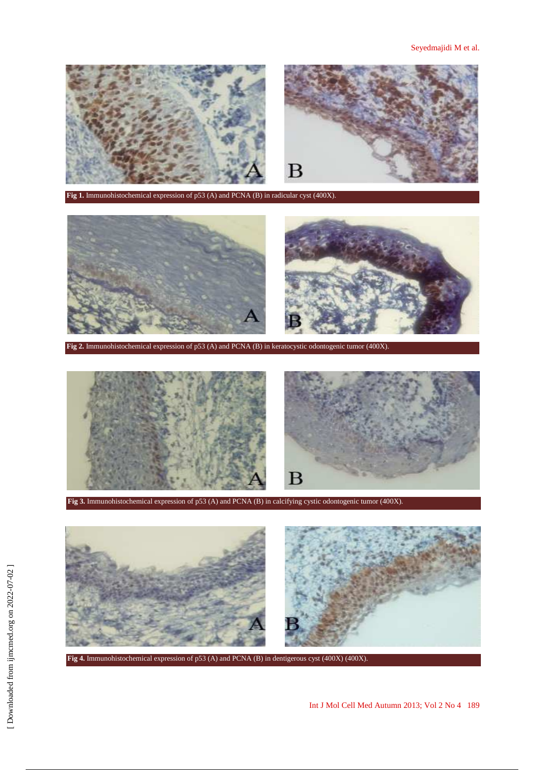

Fig 1. Immunohistochemical expression of p53 (A) and PCNA (B) in radicular cyst (400X).



**Fig 2.** Immunohistochemical expression of p53 (A) and PCNA (B) in keratocystic odontogenic tumor (400X).



**Fig 3.** Immunohistochemical expression of p53 (A) and PCNA (B) in calcifying cystic odontogenic tumor (400X).



**Fig 4.** Immunohistochemical expression of p53 (A) and PCNA (B) in dentigerous cyst (400X) (400X).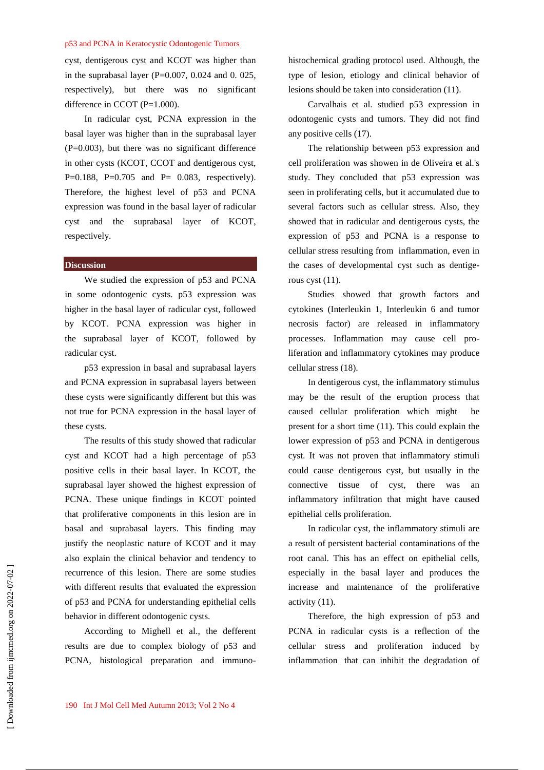#### p53 and PCNA in Keratocystic Odontogenic Tumors

cyst, dentigerous cyst and KCOT was higher than in the suprabasal layer (P=0.007, 0.024 and 0.025, respectively), but there was no significant difference in CCOT (P=1.000).

In radicular cyst, PCNA expression in the basal layer was higher than in the suprabasal layer  $(P=0.003)$ , but there was no significant difference in other cysts (KCOT, CCOT and dentigerous cyst, P=0.188, P=0.705 and P= 0.083, respectively). Therefore, the highest level of p53 and PCNA expression was found in the basal layer of radicular cyst and the suprabasal layer of KCOT, respectively.

#### **Discussion**

We studied the expression of p53 and PCNA in some odontogenic cysts. p53 expression was higher in the basal layer of radicular cyst, followed by KCOT. PCNA expression was higher in the suprabasal layer of KCOT, followed by radicular cyst.

p53 expression in basal and suprabasal layers and PCNA expression in suprabasal layers between these cysts were significantly different but this was not true for PCNA expression in the basal layer of these cysts.

The results of this study showed that radicular cyst and KCOT had a high percentage of p53 positive cells in their basal layer. In KCOT, the suprabasal layer showed the highest expression of PCNA. These unique findings in KCOT pointed that proliferative components in this lesion are in basal and suprabasal layers. This finding may justify the neoplastic nature of KCOT and it may also explain the clinical behavior and tendency to recurrence of this lesion. There are some studies with different results that evaluated the expression of p53 and PCNA for understanding epithelial cells behavior in different odontogenic cysts.

According to Mighell et al., the defferent results are due to complex biology of p53 and PCNA, histological preparation and immunohistochemical grading protocol used. Although, the type of lesion, etiology and clinical behavior of lesions should be taken into consideration (11).

Carvalhais et al. studied p53 expression in odontogenic cysts and tumors. They did not find any positive cells (17).

The relationship between p53 expression and cell proliferation was showen in de Oliveira et al.'s study. They concluded that p53 expression was seen in proliferating cells, but it accumulated due to several factors such as cellular stress. Also, they showed that in radicular and dentigerous cysts, the expression of p53 and PCNA is a response to cellular stress resulting from inflammation, even in the cases of developmental cyst such as dentigerous cyst  $(11)$ .

Studies showed that growth factors and cytokines (Interleukin 1, Interleukin 6 and tumor necrosis factor) are released in inflammatory processes. Inflammation may cause cell proliferation and inflammatory cytokines may produce cellular stress (18).

In dentigerous cyst, the inflammatory stimulus may be the result of the eruption process that caused cellular proliferation which might be present for a short time (11). This could explain the lower expression of p53 and PCNA in dentigerous cyst. It was not proven that inflammatory stimuli could cause dentigerous cyst, but usually in the connective tissue of cyst, there was an inflammatory infiltration that might have caused epithelial cells proliferation.

In radicular cyst, the inflammatory stimuli are a result of persistent bacterial contaminations of the root canal. This has an effect on epithelial cells, especially in the basal layer and produces the increase and maintenance of the proliferative activity (11).

Therefore, the high expression of p53 and PCNA in radicular cysts is a reflection of the cellular stress and proliferation induced by inflammation that can inhibit the degradation of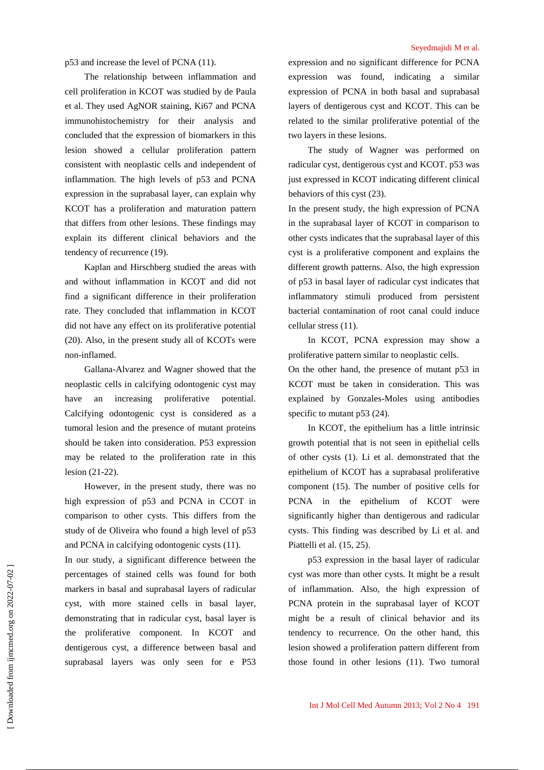The relationship between inflammation and cell proliferation in KCOT was studied by de Paula et al. They used AgNOR staining, Ki67 and PCNA immunohistochemistry for their analysis and concluded that the expression of biomarkers in this lesion showed a cellular proliferation pattern consistent with neoplastic cells and independent of inflammation. The high levels of p53 and PCNA expression in the suprabasal layer, can explain why KCOT has a proliferation and maturation pattern that differs from other lesions. These findings may explain its different clinical behaviors and the tendency of recurrence (19).

Kaplan and Hirschberg studied the areas with and without inflammation in KCOT and did not find a significant difference in their proliferation rate. They concluded that inflammation in KCOT did not have any effect on its proliferative potential (20). Also, in the present study all of KCOTs were non-inflamed.

Gallana-Alvarez and Wagner showed that the neoplastic cells in calcifying odontogenic cyst may have an increasing proliferative potential. Calcifying odontogenic cyst is considered as a tumoral lesion and the presence of mutant proteins should be taken into consideration. P53 expression may be related to the proliferation rate in this lesion (21-22).

However, in the present study, there was no high expression of p53 and PCNA in CCOT in comparison to other cysts. This differs from the study of de Oliveira who found a high level of p53 and PCNA in calcifying odontogenic cysts (11).

In our study, a significant difference between the percentages of stained cells was found for both markers in basal and suprabasal layers of radicular cyst, with more stained cells in basal layer, demonstrating that in radicular cyst, basal layer is the proliferative component. In KCOT and dentigerous cyst, a difference between basal and suprabasal layers was only seen for e P53

expression and no significant difference for PCNA expression was found, indicating a similar expression of PCNA in both basal and suprabasal layers of dentigerous cyst and KCOT. This can be related to the similar proliferative potential of the two layers in these lesions.

The study of Wagner was performed on radicular cyst, dentigerous cyst and KCOT. p53 was just expressed in KCOT indicating different clinical behaviors of this cyst (23).

In the present study, the high expression of PCNA in the suprabasal layer of KCOT in comparison to other cysts indicates that the suprabasal layer of this cyst is a proliferative component and explains the different growth patterns. Also, the high expression of p53 in basal layer of radicular cyst indicates that inflammatory stimuli produced from persistent bacterial contamination of root canal could induce cellular stress (11).

In KCOT, PCNA expression may show a proliferative pattern similar to neoplastic cells.

On the other hand, the presence of mutant p53 in KCOT must be taken in consideration. This was explained by Gonzales-Moles using antibodies specific to mutant p53 (24).

In KCOT, the epithelium has a little intrinsic growth potential that is not seen in epithelial cells of other cysts (1). Li et al. demonstrated that the epithelium of KCOT has a suprabasal proliferative component (15). The number of positive cells for PCNA in the epithelium of KCOT were significantly higher than dentigerous and radicular cysts. This finding was described by Li et al. and Piattelli et al. (15, 25).

p53 expression in the basal layer of radicular cyst was more than other cysts. It might be a result of inflammation. Also, the high expression of PCNA protein in the suprabasal layer of KCOT might be a result of clinical behavior and its tendency to recurrence. On the other hand, this lesion showed a proliferation pattern different from those found in other lesions (11). Two tumoral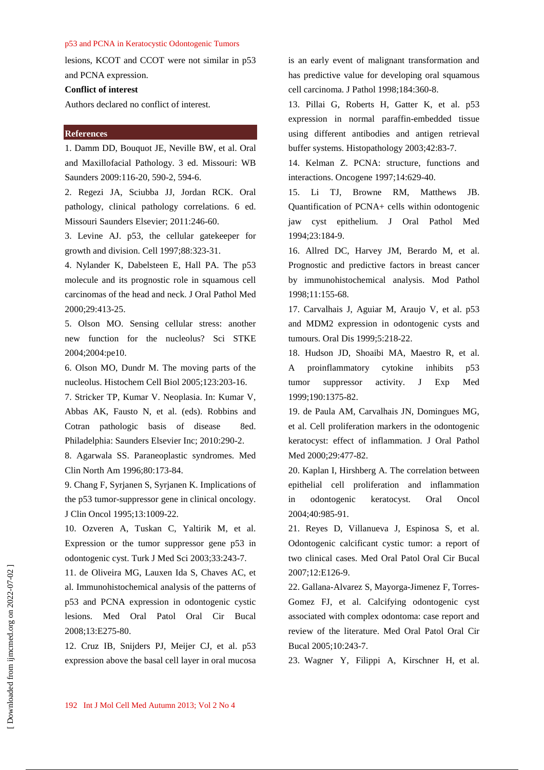#### p53 and PCNA in Keratocystic Odontogenic Tumors

lesions, KCOT and CCOT were not similar in p53 and PCNA expression.

## **Conflict of interest**

Authors declared no conflict of interest.

#### **References**

1. Damm DD, Bouquot JE, Neville BW, et al. Oral and Maxillofacial Pathology. 3 ed. Missouri: WB Saunders 2009:116-20, 590-2, 594-6.

2. Regezi JA, Sciubba JJ, Jordan RCK. Oral pathology, clinical pathology correlations. 6 ed. Missouri Saunders Elsevier; 2011:246-60.

3. Levine AJ. p53, the cellular gatekeeper for growth and division. Cell 1997;88:323-31.

4. Nylander K, Dabelsteen E, Hall PA. The p53 molecule and its prognostic role in squamous cell carcinomas of the head and neck. J Oral Pathol Med 2000;29:413-25.

5. Olson MO. Sensing cellular stress: another new function for the nucleolus? Sci STKE 2004;2004:pe10.

6. Olson MO, Dundr M. The moving parts of the nucleolus. Histochem Cell Biol 2005;123:203-16.

7. Stricker TP, Kumar V. Neoplasia. In: Kumar V, Abbas AK, Fausto N, et al. (eds). Robbins and Cotran pathologic basis of disease 8ed. Philadelphia: Saunders Elsevier Inc; 2010:290-2.

8. Agarwala SS. Paraneoplastic syndromes. Med Clin North Am 1996;80:173-84.

9. Chang F, Syrjanen S, Syrjanen K. Implications of the p53 tumor-suppressor gene in clinical oncology. J Clin Oncol 1995;13:1009-22.

10. Ozveren A, Tuskan C, Yaltirik M, et al. Expression or the tumor suppressor gene p53 in odontogenic cyst. Turk J Med Sci 2003;33:243-7.

11. de Oliveira MG, Lauxen Ida S, Chaves AC, et al. Immunohistochemical analysis of the patterns of p53 and PCNA expression in odontogenic cystic lesions. Med Oral Patol Oral Cir Bucal 2008;13:E275-80.

12. Cruz IB, Snijders PJ, Meijer CJ, et al. p53 expression above the basal cell layer in oral mucosa is an early event of malignant transformation and has predictive value for developing oral squamous cell carcinoma. J Pathol 1998;184:360-8.

13. Pillai G, Roberts H, Gatter K, et al. p53 expression in normal paraffin-embedded tissue using different antibodies and antigen retrieval buffer systems. Histopathology 2003;42:83-7.

14. Kelman Z. PCNA: structure, functions and interactions. Oncogene 1997;14:629-40.

15. Li TJ, Browne RM, Matthews JB. Quantification of PCNA+ cells within odontogenic jaw cyst epithelium. J Oral Pathol Med 1994;23:184-9.

16. Allred DC, Harvey JM, Berardo M, et al. Prognostic and predictive factors in breast cancer by immunohistochemical analysis. Mod Pathol 1998;11:155-68.

17. Carvalhais J, Aguiar M, Araujo V, et al. p53 and MDM2 expression in odontogenic cysts and tumours. Oral Dis 1999;5:218-22.

18. Hudson JD, Shoaibi MA, Maestro R, et al. A proinflammatory cytokine inhibits p53 tumor suppressor activity. J Exp Med 1999;190:1375-82.

19. de Paula AM, Carvalhais JN, Domingues MG, et al. Cell proliferation markers in the odontogenic keratocyst: effect of inflammation. J Oral Pathol Med 2000;29:477-82.

20. Kaplan I, Hirshberg A. The correlation between epithelial cell proliferation and inflammation in odontogenic keratocyst. Oral Oncol 2004;40:985-91.

21. Reyes D, Villanueva J, Espinosa S, et al. Odontogenic calcificant cystic tumor: a report of two clinical cases. Med Oral Patol Oral Cir Bucal 2007;12:E126-9.

22. Gallana-Alvarez S, Mayorga-Jimenez F, Torres-Gomez FJ, et al. Calcifying odontogenic cyst associated with complex odontoma: case report and review of the literature. Med Oral Patol Oral Cir Bucal 2005;10:243-7.

23. Wagner Y, Filippi A, Kirschner H, et al.